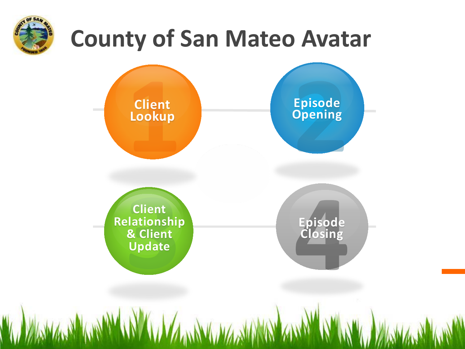

# **County of San Mateo Avatar**

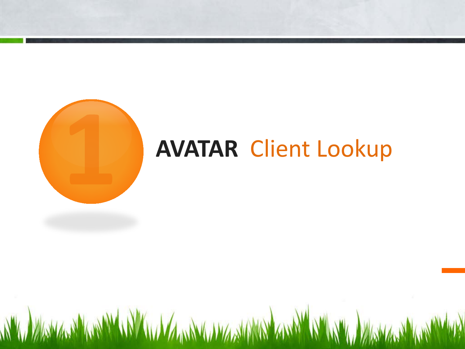

# **AVATAR** Client Lookup

WWW. WARMAN WARMAN AND A MANAGEMENT AND AND A MARIA WARMAN AND WARD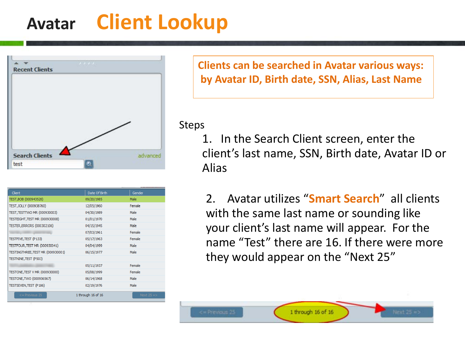# **Avatar Client Lookup**



| Client                            | Date Of Birth      | Gender      |
|-----------------------------------|--------------------|-------------|
| TEST, BOB (000943520)             | 09/20/1985         | Male        |
| TEST, JOLLY (000938760)           | 12/05/1960         | Female      |
| TEST, TESTTWO MR (000930003)      | 04/30/1989         | Male        |
| TESTEIGHT, TEST MR (000930008)    | 01/01/1970         | Male        |
| TESTER, ERRORS (000302106)        | 04/15/1945         | Male        |
|                                   | 07/03/1961         | Female      |
| TESTFIVE, TEST (P133)             | 05/17/1963         | Female      |
| TESTFOUR, TEST MR (000930041)     | 04/04/1999         | Male        |
| TESTINGTHREE, TEST MR (000930001) | 06/15/1977         | Male        |
| <b>TESTNINE, TEST (P503)</b>      |                    |             |
|                                   | 05/11/1937         | Female      |
| TESTONE, TEST V MR (000930000)    | 05/08/1999         | Female      |
| TESTONE, TWO (000936567)          | 06/14/1968         | Male        |
| TESTSEVEN, TEST (P186)            | 02/19/1976         | Male        |
| $\leq$ Previous 25                | 1 through 16 of 16 | Next $25 =$ |

**Clients can be searched in Avatar various ways: by Avatar ID, Birth date, SSN, Alias, Last Name** 

#### Steps

1. In the Search Client screen, enter the client's last name, SSN, Birth date, Avatar ID or Alias

2. Avatar utilizes "**Smart Search**" all clients with the same last name or sounding like your client's last name will appear. For the name "Test" there are 16. If there were more they would appear on the "Next 25"

1 through 16 of 16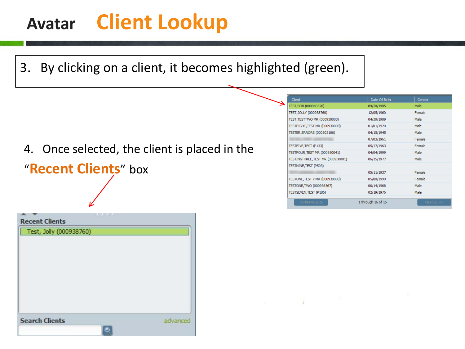# **Avatar Client Lookup**



### 4. Once selected, the client is placed in the

### "**Recent Clients**" box

| Test, Jolly (000938760) |          |
|-------------------------|----------|
|                         |          |
|                         |          |
|                         |          |
|                         |          |
|                         |          |
|                         |          |
| <b>Search Clients</b>   |          |
|                         | advanced |

| Client                                | Date Of Birth      | Gender      |
|---------------------------------------|--------------------|-------------|
| TEST, BOB (000943520)                 | 09/20/1985         | Male        |
| TEST, JOLLY (000938760)               | 12/05/1960         | Female      |
| TEST, TESTTWO MR (000930003)          | 04/30/1989         | Male        |
| TESTEIGHT, TEST MR (000930008)        | 01/01/1970         | Male        |
| TESTER, ERRORS (000302106)            | 04/15/1945         | Male        |
|                                       | 07/03/1961         | Female      |
| TESTFIVE, TEST (P133)                 | 05/17/1963         | Female      |
| TESTFOUR, TEST MR (000930041)         | 04/04/1999         | Male        |
| TESTINGTHREE, TEST MR (000930001)     | 06/15/1977         | Male        |
| TESTNINE, TEST (P503)                 |                    |             |
|                                       | 05/11/1937         | Female      |
| <b>TESTONE, TEST V MR (000930000)</b> | 05/08/1999         | Female      |
| TESTONE, TWO (000936567)              | 06/14/1968         | Male        |
| TESTSEVEN, TEST (P186)                | 02/19/1976         | Male        |
| $\leq$ Previous 25                    | 1 through 16 of 16 | Next $25 =$ |

 $\alpha$  , and  $\alpha$  , and  $\alpha$  , and  $\alpha$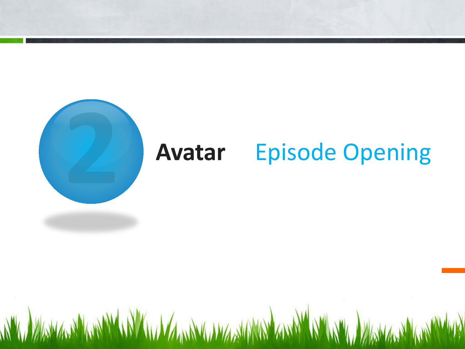

# **Avatar** Episode Opening

WWW. WARMARY WANTED A THE WARD WAS TRANSMITTED AND WARD WARD WARD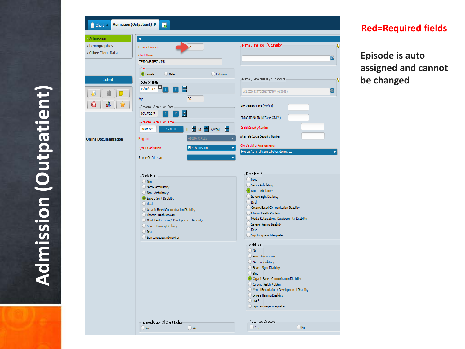

#### **Red=Required fields**

**Episode is auto assigned and cannot be changed**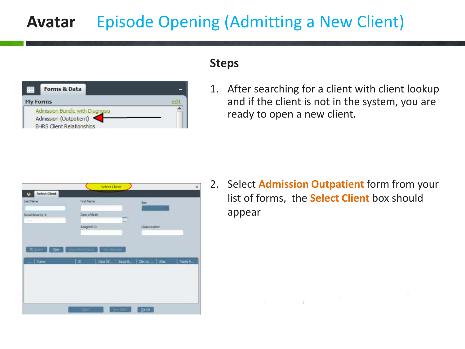## **Avatar** Episode Opening (Admitting a New Client)



#### **Steps**

1. After searching for a client with client lookup and if the client is not in the system, you are ready to open a new client.



2. Select **Admission Outpatient** form from your list of forms, the **Select Client** box should appear

 $\pm$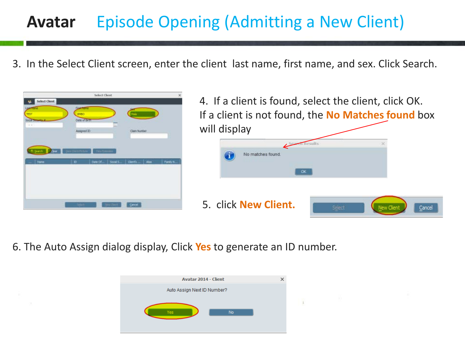## **Avatar** Episode Opening (Admitting a New Client)

3. In the Select Client screen, enter the client last name, first name, and sex. Click Search.





6. The Auto Assign dialog display, Click **Yes** to generate an ID number.

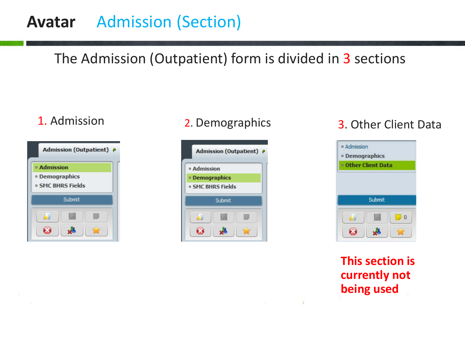### **Avatar** Admission (Section)

### The Admission (Outpatient) form is divided in 3 sections

| <b>Admission (Outpatient)</b><br>-9 |  |  |
|-------------------------------------|--|--|
| ¤ Admission                         |  |  |
| <b>Demographics</b>                 |  |  |
| <b>¤ SMC BHRS Fields</b>            |  |  |
| Submit                              |  |  |
|                                     |  |  |

### 1. Admission 2. Demographics 3. Other Client Data





### **This section is currently not being used**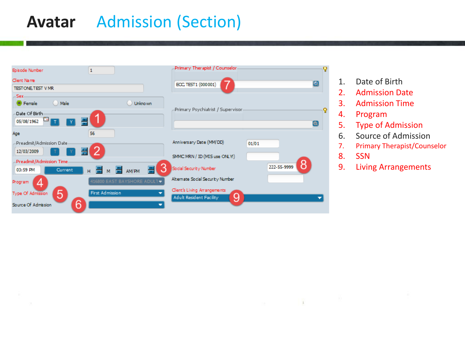### **Avatar** Admission (Section)



- 1. Date of Birth
- 2. Admission Date
- 3. Admission Time
- 4. Program
- 5. Type of Admission
- 6. Source of Admission
- 7. Primary Therapist/Counselor
- 8. SSN

 $\pm$ 

9. Living Arrangements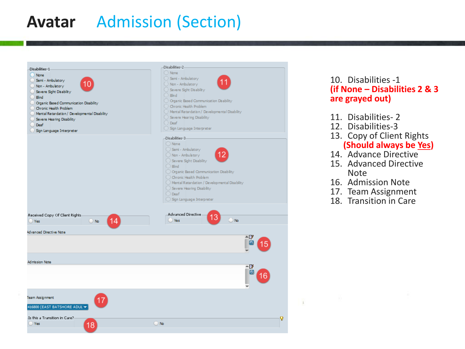### **Avatar** Admission (Section)

| Disabilities-1                                                                                                                                                                                                                                                                       | -Disabilities-2-                                                                                                                                                                                                                                                                                                                                                   |
|--------------------------------------------------------------------------------------------------------------------------------------------------------------------------------------------------------------------------------------------------------------------------------------|--------------------------------------------------------------------------------------------------------------------------------------------------------------------------------------------------------------------------------------------------------------------------------------------------------------------------------------------------------------------|
| <b>None</b><br>Semi - Ambulatory<br>10<br>Non - Ambulatory<br>Severe Sight Disability<br>Bind<br>Organic Based Communication Disability<br>Chronic Health Problem<br>Mental Retardation / Developmental Disability<br>Severe Hearing Disability<br>Deaf<br>Sign Language Interpreter | O None<br>Semi - Ambulatory<br>11<br>O Non - Ambulatory<br>Severe Sight Disability<br>$\Box$ Bind<br>Organic Based Communication Disability<br>Chronic Health Problem<br>Mental Retardation / Developmental Disability<br>Severe Hearing Disability<br>Deaf<br>Sign Language Interpreter                                                                           |
| Received Copy Of Client Rights<br>14<br>$\bigcirc$ No<br>Yes                                                                                                                                                                                                                         | -Disabilities-3-<br>O None<br>Semi - Ambulatory<br>12<br>Non - Ambulatory<br>Severe Sight Disability<br>$)$ Blind<br>O Organic Based Communication Disability<br>Chronic Health Problem<br>) Mental Retardation / Developmental Disability<br>Severe Hearing Disability<br>◯ Deaf<br>Sign Language Interpreter<br>Advanced Directive<br>13<br>$\bigcirc$ No<br>Yes |
| Advanced Directive Note                                                                                                                                                                                                                                                              |                                                                                                                                                                                                                                                                                                                                                                    |
| <b>Admission Note</b>                                                                                                                                                                                                                                                                |                                                                                                                                                                                                                                                                                                                                                                    |
|                                                                                                                                                                                                                                                                                      | ∸D                                                                                                                                                                                                                                                                                                                                                                 |
| Team Assignment<br>17<br>416800 (EAST BATSHORE ADUL' →                                                                                                                                                                                                                               |                                                                                                                                                                                                                                                                                                                                                                    |
| -Is this a Transition in Care?-<br>$\bigcirc$ Yes<br>18                                                                                                                                                                                                                              | P<br><b>U</b> No                                                                                                                                                                                                                                                                                                                                                   |

#### 10. Disabilities -1 **(if None – Disabilities 2 & 3 are grayed out)**

- 11. Disabilities- 2
- 12. Disabilities-3
- 13. Copy of Client Rights **(Should always be Yes)**
- 14. Advance Directive
- 15. Advanced Directive Note
- 16. Admission Note

 $\pm$ 

- 17. Team Assignment
- 18. Transition in Care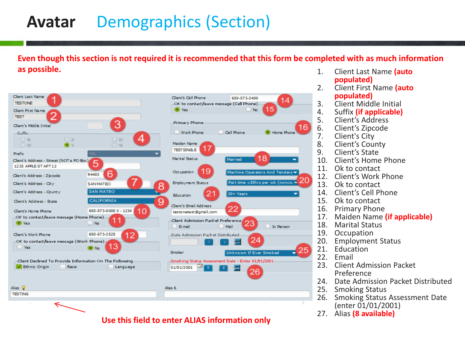### **Avatar** Demographics (Section)

**Even though this section is not required it is recommended that this form be completed with as much information as possible.** 1. Client Last Name **(auto** 



**Use this field to enter ALIAS information only** 

- **populated)**
- 2. Client First Name **(auto populated)**
- 3. Client Middle Initial<br>4. Suffix (if applicable)
- 4. Suffix **(if applicable)**
- 5. Client's Address
- 6. Client's Zipcode
- 7. Client's City
- 8. Client's County<br>9. Client's State
- Client's State
- 10. Client's Home Phone
- 11. Ok to contact
- 12. Client's Work Phone
- 13. Ok to contact
- 14. Client's Cell Phone
- 15. Ok to contact
- 16. Primary Phone
- 17. Maiden Name **(if applicable)**
- 18. Marital Status<br>19. Occupation
- **Occupation**
- 20. Employment Status<br>21. Education
- 21. Education<br>22. Email
- **Email**
- 23. Client Admission Packet Preference
- 24. Date Admission Packet Distributed<br>25. Smoking Status
- **Smoking Status**
- 26. Smoking Status Assessment Date (enter 01/01/2001)<br>27. Alias (8 available)
-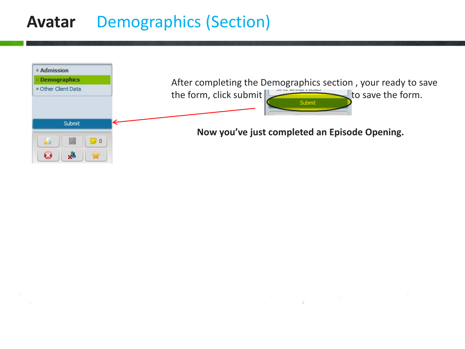### **Avatar** Demographics (Section)



 $\sim$   $\sim$   $\sim$   $\sim$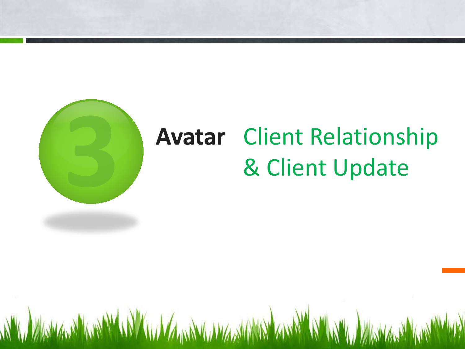

# **Avatar** Client Relationship & Client Update

A "W MARMALING A "W W W W W MARMALING AND "AND" N" W W WAS MARING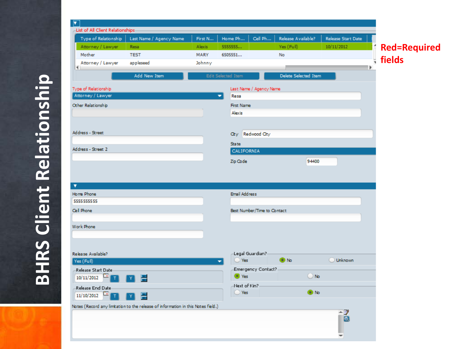

**BHRS Client Relationship BHRS Client Relationship**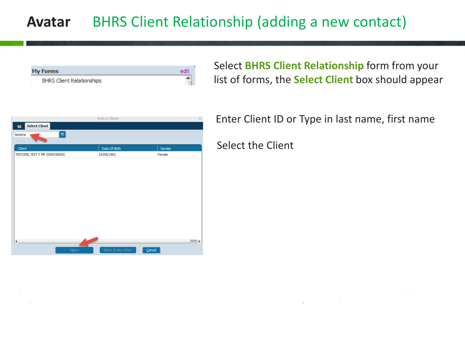### **Avatar** BHRS Client Relationship (adding a new contact)

| <b>My Forms</b>                  |  |
|----------------------------------|--|
| <b>BHRS Client Relationships</b> |  |

Select **BHRS Client Relationship** form from your list of forms, the **Select Client** box should appear

|                                       | <b>Select Client</b> |        | $\times$              |
|---------------------------------------|----------------------|--------|-----------------------|
| <b>Select Client</b><br>M.            |                      |        |                       |
| $\lceil \mathsf{a} \rceil$<br>testone |                      |        |                       |
| Client                                | Date Of Birth        | Gender |                       |
| TESTONE, TEST V MR (000930000)        | 05/08/1962           | Female |                       |
|                                       |                      |        |                       |
|                                       |                      |        |                       |
|                                       |                      |        |                       |
|                                       |                      |        |                       |
|                                       |                      |        |                       |
|                                       |                      |        |                       |
|                                       |                      |        |                       |
|                                       |                      |        |                       |
|                                       |                      |        |                       |
|                                       |                      |        |                       |
|                                       |                      |        |                       |
| $\blacksquare$                        |                      |        | $\blacktriangleright$ |
|                                       |                      |        |                       |
| Select                                | Select & View Chart  | Cancel |                       |

Enter Client ID or Type in last name, first name

Select the Client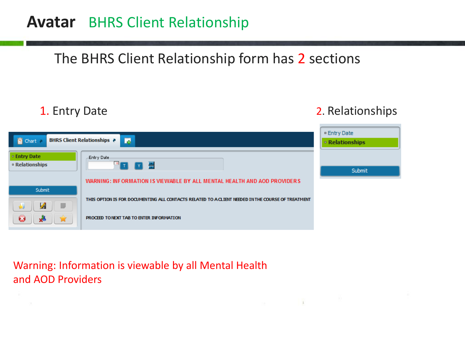### **Avatar** BHRS Client Relationship

### The BHRS Client Relationship form has 2 sections

1. Entry Date 2. Relationships

 $\pm$ 



#### Warning: Information is viewable by all Mental Health and AOD Providers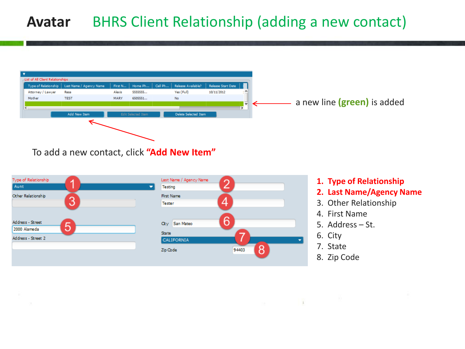### **Avatar** BHRS Client Relationship (adding a new contact)



To add a new contact, click **"Add New Item"**



- **1. Type of Relationship**
- **2. Last Name/Agency Name**
- 3. Other Relationship
- 4. First Name
- 5. Address St.
- 6. City

 $\pm$ 

- 7. State
- 8. Zip Code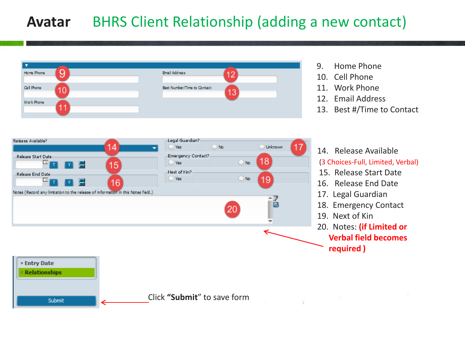### **Avatar** BHRS Client Relationship (adding a new contact)





- 9. Home Phone
- 10. Cell Phone
- 11. Work Phone
- 12. Email Address
- 13. Best #/Time to Contact

14. Release Available (3 Choices-Full, Limited, Verbal)

- 15. Release Start Date
- 16. Release End Date
- 17. Legal Guardian
- 18. Emergency Contact
- 19. Next of Kin
- 20. Notes: **(if Limited or Verbal field becomes required )**

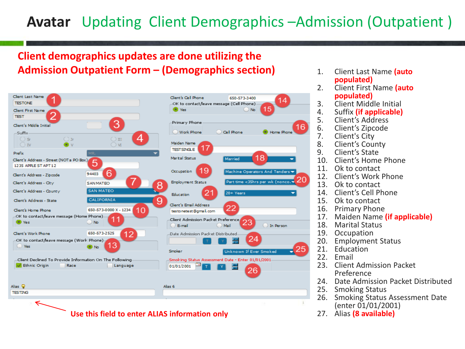### **Avatar** Updating Client Demographics –Admission (Outpatient )

#### **Client demographics updates are done utilizing the Admission Outpatient Form – (Demographics section)** 1. Client Last Name **(auto**



- **populated)**
- 2. Client First Name **(auto populated)**
- 3. Client Middle Initial<br>4. Suffix *(if applicable)*
- 4. Suffix **(if applicable)**
- 5. Client's Address
- 6. Client's Zipcode
- 7. Client's City
- Client's County
- 9. Client's State
- 10. Client's Home Phone
- 11. Ok to contact<br>12. Client's Work
- **Client's Work Phone**
- 13. Ok to contact
- 14. Client's Cell Phone
- 15. Ok to contact
- 16. Primary Phone
- 17. Maiden Name **(if applicable)**
- 18. Marital Status<br>19. Occupation
- 19. Occupation<br>20. Employmen
- 20. Employment Status<br>21. Education
- 21. Education<br>22. Email
- **Email**
- 23. Client Admission Packet Preference
- 24. Date Admission Packet Distributed<br>25. Smoking Status
- **Smoking Status**
- 26. Smoking Status Assessment Date (enter 01/01/2001)<br>27. Alias (8 available)
-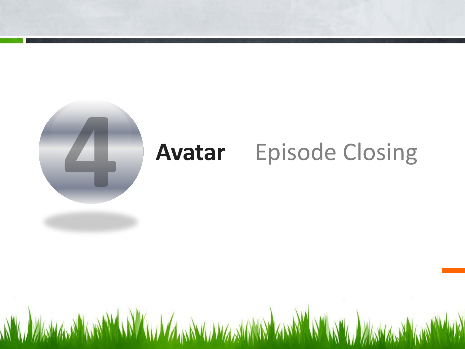

# **Avatar** Episode Closing

WWW. WARMARY WANTED A THE WARD WAS TRANSMITTED AND WARD WARD WARD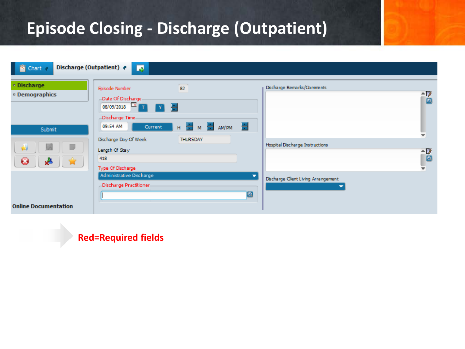### **Episode Closing - Discharge (Outpatient)**

| Discharge (Outpatient) ?<br><b>T Ghart</b> 2       | 國                                                                                                 |                                |   |                                        |           |
|----------------------------------------------------|---------------------------------------------------------------------------------------------------|--------------------------------|---|----------------------------------------|-----------|
| · Discharge<br><sup>o</sup> Demographics<br>Submit | Episode Number<br>Date Of Discharge-<br>08/09/2018 1 T Y<br>Discharge Time<br>09:54 AM<br>Current | $\overline{82}$<br>H M M M M M |   | Discharge Remarks/Comments             | - 7∕<br>▣ |
| F<br>и<br>خبر<br>Ø                                 | Discharge Day Of Week<br>Length Of Stay<br>418<br>Type Of Discharge                               | <b>THURSDAY</b>                |   | <b>Hospital Discharge Instructions</b> | -7<br>₩I  |
| <b>Online Documentation</b>                        | Administrative Discharge<br>-Discharge Practitioner-                                              |                                | 図 | Discharge Client Living Arrangement    |           |

#### **Red=Required fields**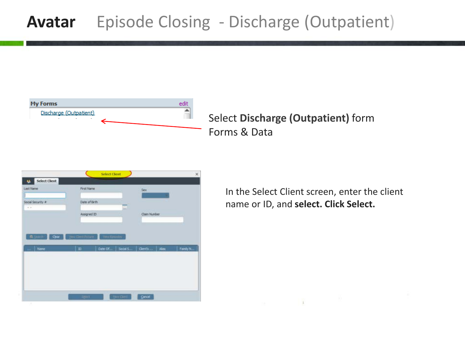### **Avatar** Episode Closing - Discharge (Outpatient)



Select **Discharge (Outpatient)** form Forms & Data



In the Select Client screen, enter the client name or ID, and **select. Click Select.**

 $\mathbf{1}$